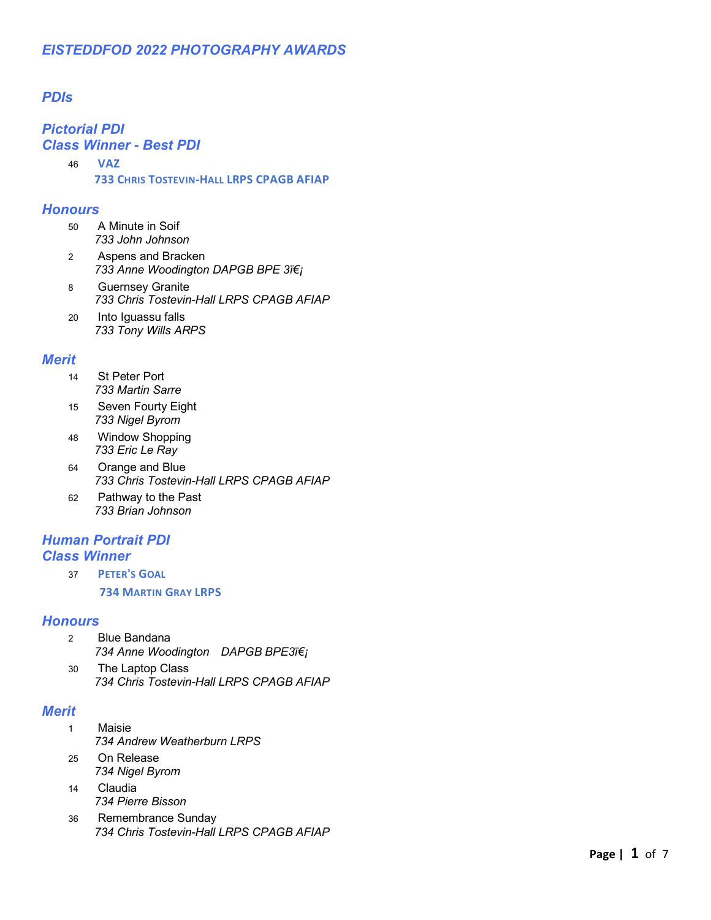## *PDIs*

### *Pictorial PDI Class Winner - Best PDI*

46 **VAZ 733 CHRIS TOSTEVIN-HALL LRPS CPAGB AFIAP**

#### *Honours*

- 50 A Minute in Soif *733 John Johnson*
- 2 Aspens and Bracken 733 Anne Woodington DAPGB BPE 3ï€i
- 8 Guernsey Granite *733 Chris Tostevin-Hall LRPS CPAGB AFIAP*
- 20 Into Iguassu falls *733 Tony Wills ARPS*

### *Merit*

- 14 St Peter Port *733 Martin Sarre*
- 15 Seven Fourty Eight *733 Nigel Byrom*
- 48 Window Shopping *733 Eric Le Ray*
- 64 Orange and Blue *733 Chris Tostevin-Hall LRPS CPAGB AFIAP*
- 62 Pathway to the Past *733 Brian Johnson*

### *Human Portrait PDI Class Winner*

37 **PETER'S GOAL 734 MARTIN GRAY LRPS**

#### *Honours*

- 2 Blue Bandana 734 Anne Woodington DAPGB BPE3ï€i
- 30 The Laptop Class *734 Chris Tostevin-Hall LRPS CPAGB AFIAP*

### *Merit*

- 1 Maisie *734 Andrew Weatherburn LRPS*
- 25 On Release *734 Nigel Byrom*
- 14 Claudia *734 Pierre Bisson*
- 36 Remembrance Sunday *734 Chris Tostevin-Hall LRPS CPAGB AFIAP*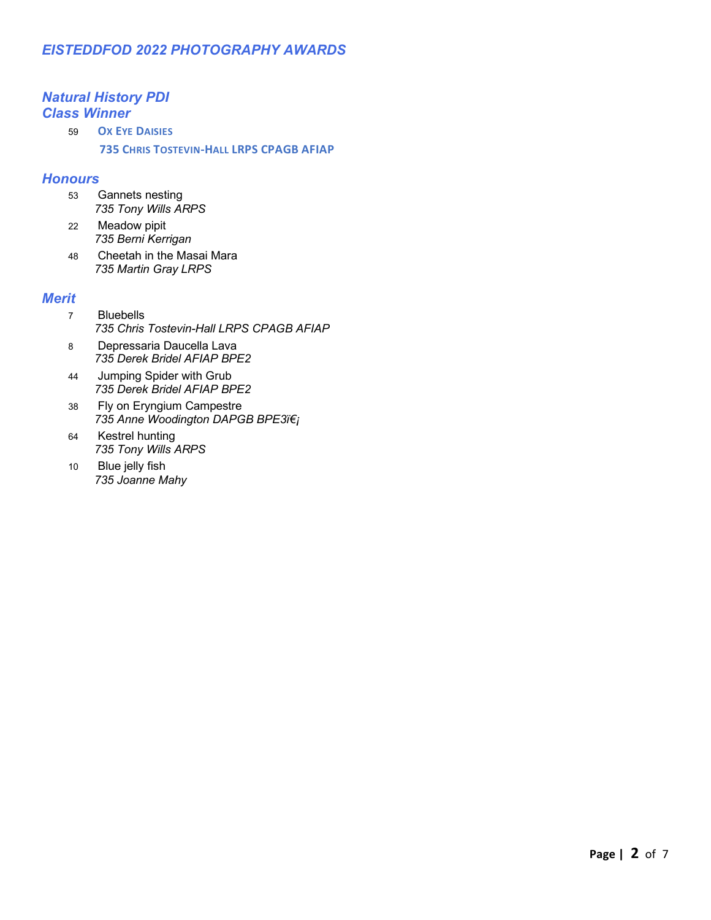## *Natural History PDI Class Winner*

59 **OX EYE DAISIES 735 CHRIS TOSTEVIN-HALL LRPS CPAGB AFIAP**

### *Honours*

- 53 Gannets nesting *735 Tony Wills ARPS*
- 22 Meadow pipit *735 Berni Kerrigan*
- 48 Cheetah in the Masai Mara *735 Martin Gray LRPS*

### *Merit*

- 7 Bluebells *735 Chris Tostevin-Hall LRPS CPAGB AFIAP*
- 8 Depressaria Daucella Lava *735 Derek Bridel AFIAP BPE2*
- 44 Jumping Spider with Grub *735 Derek Bridel AFIAP BPE2*
- 38 Fly on Eryngium Campestre *735 Anne Woodington DAPGB BPE3*
- 64 Kestrel hunting *735 Tony Wills ARPS*
- 10 Blue jelly fish *735 Joanne Mahy*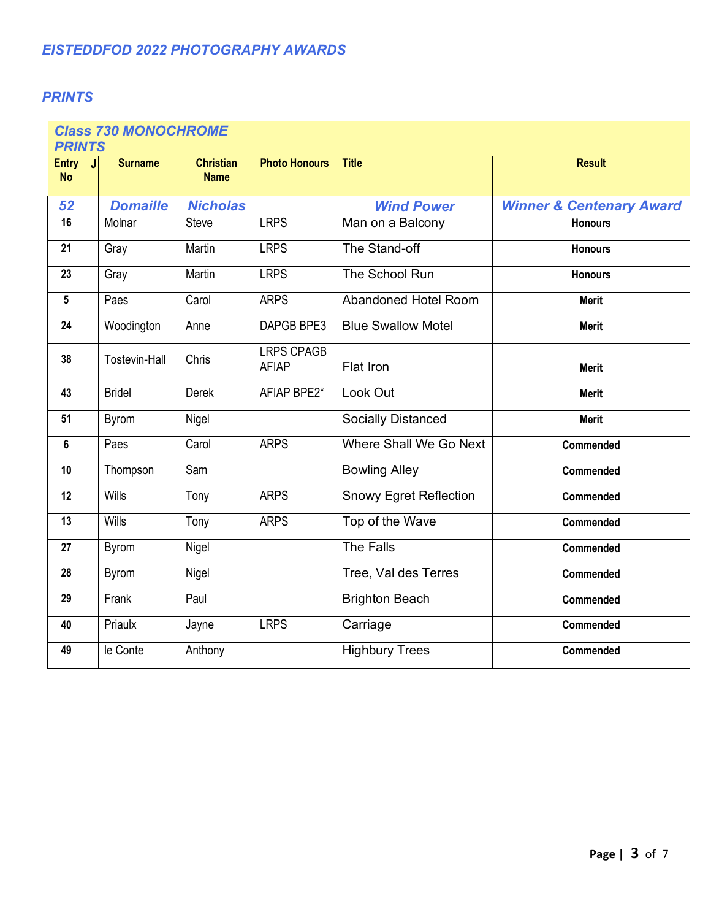## *PRINTS*

| <b>Class 730 MONOCHROME</b><br><b>PRINTS</b> |                      |                                 |                                   |                               |                                     |  |  |
|----------------------------------------------|----------------------|---------------------------------|-----------------------------------|-------------------------------|-------------------------------------|--|--|
| <b>Entry</b><br><b>No</b>                    | <b>Surname</b><br>J  | <b>Christian</b><br><b>Name</b> | <b>Photo Honours</b>              | <b>Title</b>                  | <b>Result</b>                       |  |  |
| 52                                           | <b>Domaille</b>      | <b>Nicholas</b>                 |                                   | <b>Wind Power</b>             | <b>Winner &amp; Centenary Award</b> |  |  |
| 16                                           | Molnar               | <b>Steve</b>                    | <b>LRPS</b>                       | Man on a Balcony              | <b>Honours</b>                      |  |  |
| 21                                           | Gray                 | Martin                          | <b>LRPS</b>                       | The Stand-off                 | <b>Honours</b>                      |  |  |
| 23                                           | Gray                 | Martin                          | <b>LRPS</b>                       | The School Run                | <b>Honours</b>                      |  |  |
| $5\phantom{.0}$                              | Paes                 | Carol                           | <b>ARPS</b>                       | Abandoned Hotel Room          | <b>Merit</b>                        |  |  |
| 24                                           | Woodington           | Anne                            | DAPGB BPE3                        | <b>Blue Swallow Motel</b>     | <b>Merit</b>                        |  |  |
| 38                                           | <b>Tostevin-Hall</b> | Chris                           | <b>LRPS CPAGB</b><br><b>AFIAP</b> | Flat Iron                     | <b>Merit</b>                        |  |  |
| 43                                           | <b>Bridel</b>        | Derek                           | AFIAP BPE2*                       | Look Out                      | <b>Merit</b>                        |  |  |
| 51                                           | <b>Byrom</b>         | Nigel                           |                                   | <b>Socially Distanced</b>     | <b>Merit</b>                        |  |  |
| $6\phantom{a}$                               | Paes                 | Carol                           | <b>ARPS</b>                       | Where Shall We Go Next        | Commended                           |  |  |
| 10                                           | Thompson             | Sam                             |                                   | <b>Bowling Alley</b>          | Commended                           |  |  |
| 12                                           | Wills                | Tony                            | <b>ARPS</b>                       | <b>Snowy Egret Reflection</b> | Commended                           |  |  |
| 13                                           | Wills                | Tony                            | <b>ARPS</b>                       | Top of the Wave               | Commended                           |  |  |
| 27                                           | <b>Byrom</b>         | Nigel                           |                                   | The Falls                     | Commended                           |  |  |
| 28                                           | <b>Byrom</b>         | Nigel                           |                                   | Tree, Val des Terres          | Commended                           |  |  |
| 29                                           | Frank                | Paul                            |                                   | <b>Brighton Beach</b>         | Commended                           |  |  |
| 40                                           | Priaulx              | Jayne                           | <b>LRPS</b>                       | Carriage                      | Commended                           |  |  |
| 49                                           | le Conte             | Anthony                         |                                   | <b>Highbury Trees</b>         | Commended                           |  |  |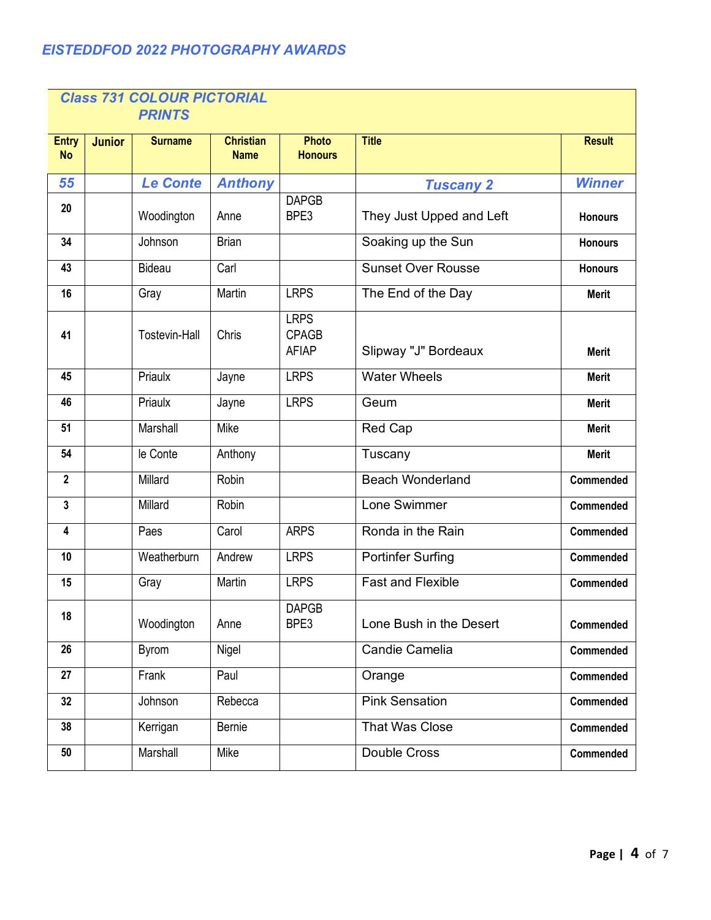| <b>Class 731 COLOUR PICTORIAL</b><br><b>PRINTS</b> |               |                      |                                 |                                             |                           |                |  |
|----------------------------------------------------|---------------|----------------------|---------------------------------|---------------------------------------------|---------------------------|----------------|--|
| <b>Entry</b><br><b>No</b>                          | <b>Junior</b> | <b>Surname</b>       | <b>Christian</b><br><b>Name</b> | <b>Photo</b><br><b>Honours</b>              | <b>Title</b>              | <b>Result</b>  |  |
| 55                                                 |               | <b>Le Conte</b>      | <b>Anthony</b>                  |                                             | <b>Tuscany 2</b>          | <b>Winner</b>  |  |
| 20                                                 |               | Woodington           | Anne                            | <b>DAPGB</b><br>BPE3                        | They Just Upped and Left  | <b>Honours</b> |  |
| 34                                                 |               | Johnson              | <b>Brian</b>                    |                                             | Soaking up the Sun        | <b>Honours</b> |  |
| 43                                                 |               | <b>Bideau</b>        | Carl                            |                                             | <b>Sunset Over Rousse</b> | <b>Honours</b> |  |
| 16                                                 |               | Gray                 | Martin                          | <b>LRPS</b>                                 | The End of the Day        | <b>Merit</b>   |  |
| 41                                                 |               | <b>Tostevin-Hall</b> | Chris                           | <b>LRPS</b><br><b>CPAGB</b><br><b>AFIAP</b> | Slipway "J" Bordeaux      | <b>Merit</b>   |  |
| 45                                                 |               | Priaulx              | Jayne                           | <b>LRPS</b>                                 | <b>Water Wheels</b>       | <b>Merit</b>   |  |
| 46                                                 |               | Priaulx              | Jayne                           | <b>LRPS</b>                                 | Geum                      | <b>Merit</b>   |  |
| 51                                                 |               | Marshall             | Mike                            |                                             | Red Cap                   | <b>Merit</b>   |  |
| 54                                                 |               | le Conte             | Anthony                         |                                             | Tuscany                   | <b>Merit</b>   |  |
| $\overline{2}$                                     |               | Millard              | Robin                           |                                             | <b>Beach Wonderland</b>   | Commended      |  |
| 3                                                  |               | Millard              | Robin                           |                                             | Lone Swimmer              | Commended      |  |
| 4                                                  |               | Paes                 | Carol                           | <b>ARPS</b>                                 | Ronda in the Rain         | Commended      |  |
| 10                                                 |               | Weatherburn          | Andrew                          | <b>LRPS</b>                                 | <b>Portinfer Surfing</b>  | Commended      |  |
| 15                                                 |               | Gray                 | Martin                          | <b>LRPS</b>                                 | <b>Fast and Flexible</b>  | Commended      |  |
| 18                                                 |               | Woodington           | Anne                            | <b>DAPGB</b><br>BPE3                        | Lone Bush in the Desert   | Commended      |  |
| 26                                                 |               | Byrom                | Nigel                           |                                             | Candie Camelia            | Commended      |  |
| 27                                                 |               | Frank                | Paul                            |                                             | Orange                    | Commended      |  |
| 32                                                 |               | Johnson              | Rebecca                         |                                             | <b>Pink Sensation</b>     | Commended      |  |
| 38                                                 |               | Kerrigan             | Bernie                          |                                             | <b>That Was Close</b>     | Commended      |  |
| 50                                                 |               | Marshall             | Mike                            |                                             | Double Cross              | Commended      |  |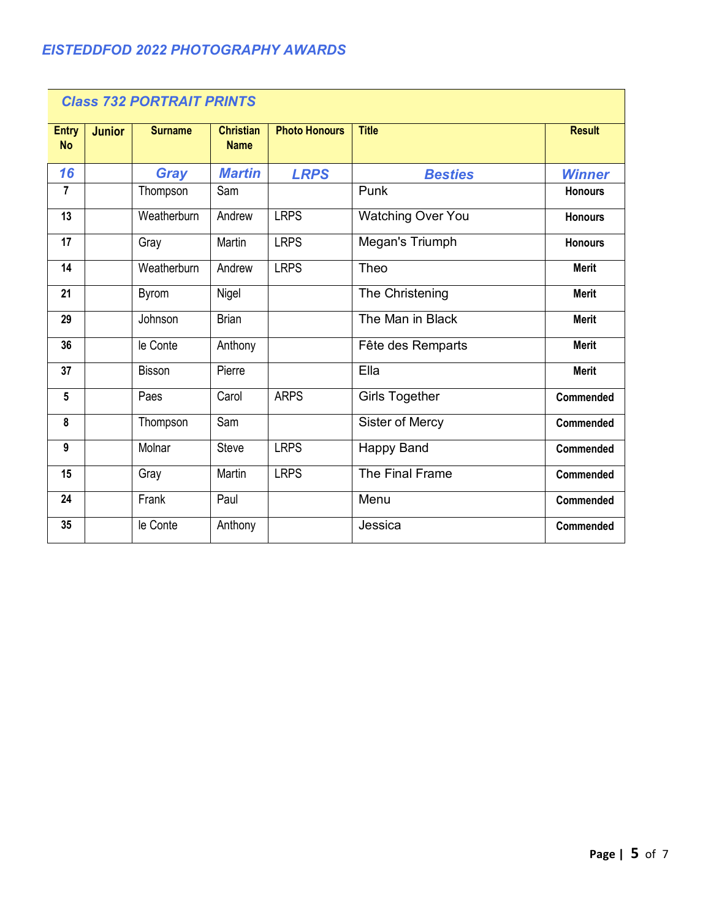| <b>Class 732 PORTRAIT PRINTS</b> |               |                |                                 |                      |                          |                  |  |
|----------------------------------|---------------|----------------|---------------------------------|----------------------|--------------------------|------------------|--|
| <b>Entry</b><br><b>No</b>        | <b>Junior</b> | <b>Surname</b> | <b>Christian</b><br><b>Name</b> | <b>Photo Honours</b> | <b>Title</b>             | <b>Result</b>    |  |
| 16                               |               | <b>Gray</b>    | <b>Martin</b>                   | <b>LRPS</b>          | <b>Besties</b>           | <b>Winner</b>    |  |
| $\overline{7}$                   |               | Thompson       | Sam                             |                      | Punk                     | <b>Honours</b>   |  |
| 13                               |               | Weatherburn    | Andrew                          | <b>LRPS</b>          | <b>Watching Over You</b> | <b>Honours</b>   |  |
| 17                               |               | Gray           | Martin                          | <b>LRPS</b>          | Megan's Triumph          | <b>Honours</b>   |  |
| 14                               |               | Weatherburn    | Andrew                          | <b>LRPS</b>          | Theo                     | <b>Merit</b>     |  |
| 21                               |               | <b>Byrom</b>   | Nigel                           |                      | The Christening          | <b>Merit</b>     |  |
| 29                               |               | Johnson        | <b>Brian</b>                    |                      | The Man in Black         | <b>Merit</b>     |  |
| 36                               |               | le Conte       | Anthony                         |                      | Fête des Remparts        | <b>Merit</b>     |  |
| 37                               |               | <b>Bisson</b>  | Pierre                          |                      | Ella                     | <b>Merit</b>     |  |
| $5\phantom{.0}$                  |               | Paes           | Carol                           | <b>ARPS</b>          | <b>Girls Together</b>    | Commended        |  |
| 8                                |               | Thompson       | Sam                             |                      | Sister of Mercy          | <b>Commended</b> |  |
| 9                                |               | Molnar         | <b>Steve</b>                    | <b>LRPS</b>          | <b>Happy Band</b>        | Commended        |  |
| 15                               |               | Gray           | Martin                          | <b>LRPS</b>          | The Final Frame          | Commended        |  |
| 24                               |               | Frank          | Paul                            |                      | Menu                     | Commended        |  |
| 35                               |               | le Conte       | Anthony                         |                      | Jessica                  | Commended        |  |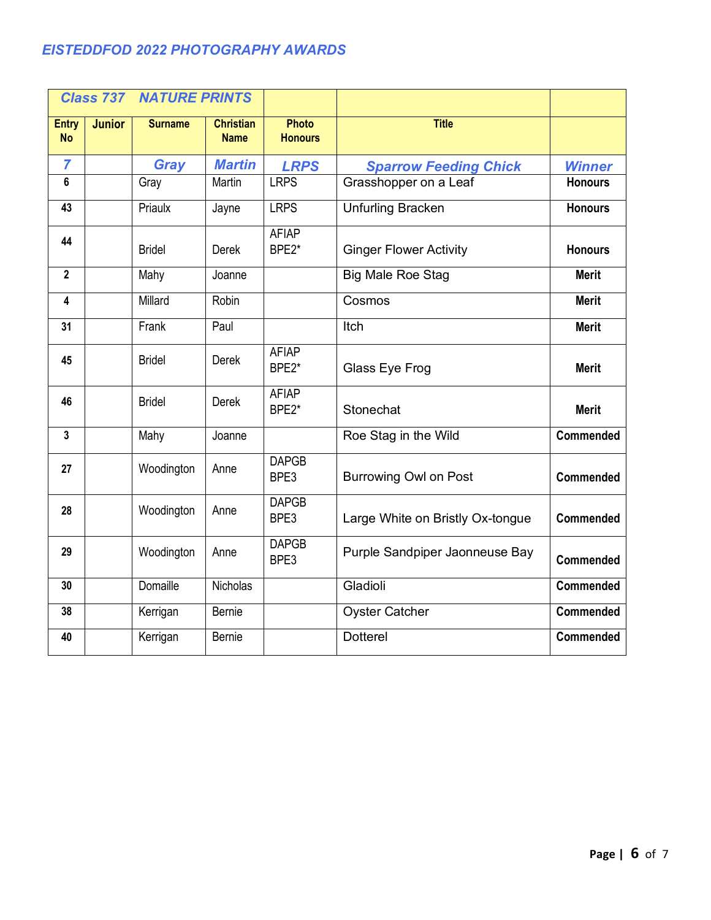| <b>Class 737</b>          |               | <b>NATURE PRINTS</b> |                                 |                                |                                  |                  |
|---------------------------|---------------|----------------------|---------------------------------|--------------------------------|----------------------------------|------------------|
| <b>Entry</b><br><b>No</b> | <b>Junior</b> | <b>Surname</b>       | <b>Christian</b><br><b>Name</b> | <b>Photo</b><br><b>Honours</b> | <b>Title</b>                     |                  |
| $\overline{7}$            |               | Gray                 | <b>Martin</b>                   | <b>LRPS</b>                    | <b>Sparrow Feeding Chick</b>     | <b>Winner</b>    |
| 6                         |               | Gray                 | Martin                          | <b>LRPS</b>                    | Grasshopper on a Leaf            | <b>Honours</b>   |
| 43                        |               | Priaulx              | Jayne                           | <b>LRPS</b>                    | <b>Unfurling Bracken</b>         | <b>Honours</b>   |
| 44                        |               | <b>Bridel</b>        | <b>Derek</b>                    | <b>AFIAP</b><br>BPE2*          | <b>Ginger Flower Activity</b>    | <b>Honours</b>   |
| $\overline{2}$            |               | Mahy                 | Joanne                          |                                | <b>Big Male Roe Stag</b>         | <b>Merit</b>     |
| 4                         |               | Millard              | Robin                           |                                | Cosmos                           | <b>Merit</b>     |
| 31                        |               | Frank                | Paul                            |                                | Itch                             | <b>Merit</b>     |
| 45                        |               | <b>Bridel</b>        | <b>Derek</b>                    | <b>AFIAP</b><br>BPE2*          | Glass Eye Frog                   | <b>Merit</b>     |
| 46                        |               | <b>Bridel</b>        | <b>Derek</b>                    | <b>AFIAP</b><br>BPE2*          | Stonechat                        | <b>Merit</b>     |
| $\mathbf{3}$              |               | Mahy                 | Joanne                          |                                | Roe Stag in the Wild             | Commended        |
| 27                        |               | Woodington           | Anne                            | <b>DAPGB</b><br>BPE3           | <b>Burrowing Owl on Post</b>     | Commended        |
| 28                        |               | Woodington           | Anne                            | <b>DAPGB</b><br>BPE3           | Large White on Bristly Ox-tongue | Commended        |
| 29                        |               | Woodington           | Anne                            | <b>DAPGB</b><br>BPE3           | Purple Sandpiper Jaonneuse Bay   | <b>Commended</b> |
| 30                        |               | Domaille             | Nicholas                        |                                | Gladioli                         | Commended        |
| 38                        |               | Kerrigan             | <b>Bernie</b>                   |                                | <b>Oyster Catcher</b>            | Commended        |
| 40                        |               | Kerrigan             | <b>Bernie</b>                   |                                | <b>Dotterel</b>                  | <b>Commended</b> |